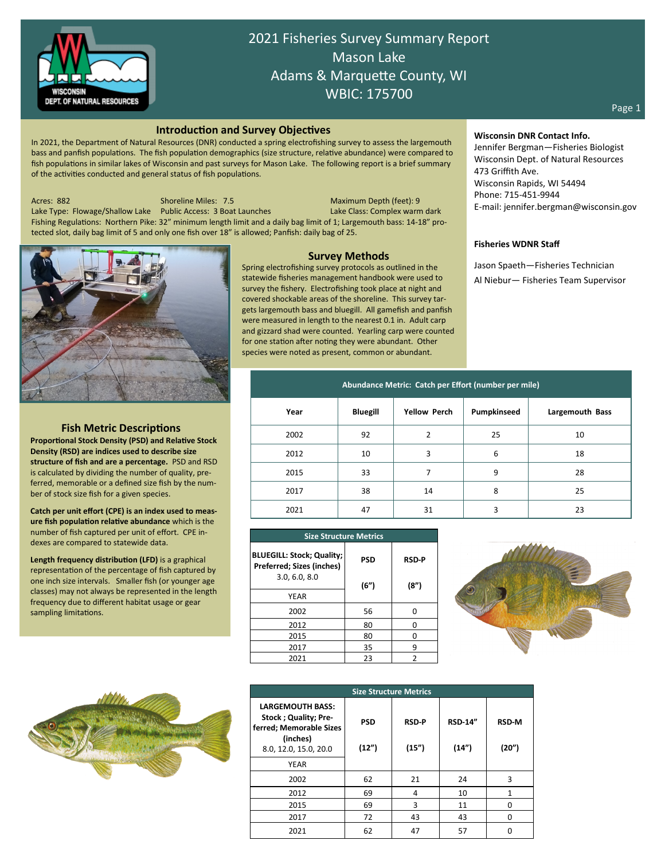

2021 Fisheries Survey Summary Report Mason Lake Adams & Marquette County, WI WBIC: 175700

#### **Introduction and Survey Objectives**

In 2021, the Department of Natural Resources (DNR) conducted a spring electrofishing survey to assess the largemouth bass and panfish populations. The fish population demographics (size structure, relative abundance) were compared to fish populations in similar lakes of Wisconsin and past surveys for Mason Lake. The following report is a brief summary of the activities conducted and general status of fish populations.

Acres: 882 Shoreline Miles: 7.5 Maximum Depth (feet): 9

Lake Type: Flowage/Shallow Lake Public Access: 3 Boat Launches Lake Class: Complex warm dark Fishing Regulations: Northern Pike: 32" minimum length limit and a daily bag limit of 1; Largemouth bass: 14-18" protected slot, daily bag limit of 5 and only one fish over 18" is allowed; Panfish: daily bag of 25.



# **Fish Metric Descriptions**

**Proportional Stock Density (PSD) and Relative Stock Density (RSD) are indices used to describe size structure of fish and are a percentage.** PSD and RSD is calculated by dividing the number of quality, preferred, memorable or a defined size fish by the number of stock size fish for a given species.

**Catch per unit effort (CPE) is an index used to measure fish population relative abundance** which is the number of fish captured per unit of effort. CPE indexes are compared to statewide data.

**Length frequency distribution (LFD)** is a graphical representation of the percentage of fish captured by one inch size intervals. Smaller fish (or younger age classes) may not always be represented in the length frequency due to different habitat usage or gear sampling limitations.



**Survey Methods**

Spring electrofishing survey protocols as outlined in the statewide fisheries management handbook were used to survey the fishery. Electrofishing took place at night and covered shockable areas of the shoreline. This survey targets largemouth bass and bluegill. All gamefish and panfish were measured in length to the nearest 0.1 in. Adult carp and gizzard shad were counted. Yearling carp were counted for one station after noting they were abundant. Other species were noted as present, common or abundant.

**Wisconsin DNR Contact Info.**

Jennifer Bergman—Fisheries Biologist Wisconsin Dept. of Natural Resources 473 Griffith Ave. Wisconsin Rapids, WI 54494 Phone: 715-451-9944 E-mail: jennifer.bergman@wisconsin.gov

### **Fisheries WDNR Staff**

Jason Spaeth—Fisheries Technician Al Niebur— Fisheries Team Supervisor

| Abundance Metric: Catch per Effort (number per mile) |                 |                     |             |                 |  |  |  |  |
|------------------------------------------------------|-----------------|---------------------|-------------|-----------------|--|--|--|--|
| Year                                                 | <b>Bluegill</b> | <b>Yellow Perch</b> | Pumpkinseed | Largemouth Bass |  |  |  |  |
| 2002                                                 | 92              | 2                   | 25          | 10              |  |  |  |  |
| 2012                                                 | 10              | 3                   | 6           | 18              |  |  |  |  |
| 2015                                                 | 33              |                     | 9           | 28              |  |  |  |  |
| 2017                                                 | 38              | 14                  | 8           | 25              |  |  |  |  |
| 2021                                                 | 47              | 31                  | 3           | 23              |  |  |  |  |

| <b>Size Structure Metrics</b>                                                  |            |                      |  |  |  |  |
|--------------------------------------------------------------------------------|------------|----------------------|--|--|--|--|
| <b>BLUEGILL: Stock; Quality;</b><br>Preferred; Sizes (inches)<br>3.0, 6.0, 8.0 | <b>PSD</b> | <b>RSD-P</b><br>(8") |  |  |  |  |
| <b>YEAR</b>                                                                    | (6")       |                      |  |  |  |  |
| 2002                                                                           | 56         |                      |  |  |  |  |
| 2012                                                                           | 80         |                      |  |  |  |  |
| 2015                                                                           | 80         |                      |  |  |  |  |
| 2017                                                                           | 35         |                      |  |  |  |  |
| 2021                                                                           | 23         |                      |  |  |  |  |



| <b>Size Structure Metrics</b>                                                                                           |                     |                       |                         |                       |  |  |  |  |
|-------------------------------------------------------------------------------------------------------------------------|---------------------|-----------------------|-------------------------|-----------------------|--|--|--|--|
| <b>LARGEMOUTH BASS:</b><br><b>Stock ; Quality; Pre-</b><br>ferred; Memorable Sizes<br>(inches)<br>8.0, 12.0, 15.0, 20.0 | <b>PSD</b><br>(12") | <b>RSD-P</b><br>(15") | <b>RSD-14"</b><br>(14") | <b>RSD-M</b><br>(20") |  |  |  |  |
| <b>YEAR</b>                                                                                                             |                     |                       |                         |                       |  |  |  |  |
| 2002                                                                                                                    | 62                  | 21                    | 24                      | 3                     |  |  |  |  |
| 2012                                                                                                                    | 69                  | 4                     | 10                      | 1                     |  |  |  |  |
| 2015                                                                                                                    | 69                  | 3                     | 11                      | ŋ                     |  |  |  |  |
| 2017                                                                                                                    | 72                  | 43                    | 43                      | $\Omega$              |  |  |  |  |
| 2021                                                                                                                    | 62                  | 47                    | 57                      |                       |  |  |  |  |